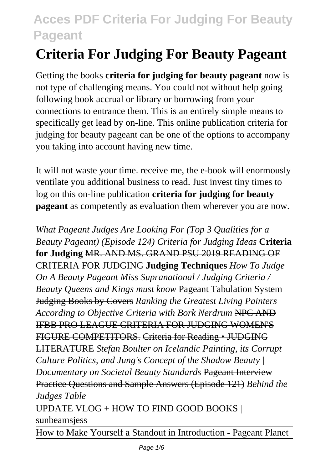# **Criteria For Judging For Beauty Pageant**

Getting the books **criteria for judging for beauty pageant** now is not type of challenging means. You could not without help going following book accrual or library or borrowing from your connections to entrance them. This is an entirely simple means to specifically get lead by on-line. This online publication criteria for judging for beauty pageant can be one of the options to accompany you taking into account having new time.

It will not waste your time. receive me, the e-book will enormously ventilate you additional business to read. Just invest tiny times to log on this on-line publication **criteria for judging for beauty pageant** as competently as evaluation them wherever you are now.

*What Pageant Judges Are Looking For (Top 3 Qualities for a Beauty Pageant) (Episode 124) Criteria for Judging Ideas* **Criteria for Judging** MR. AND MS. GRAND PSU 2019 READING OF CRITERIA FOR JUDGING **Judging Techniques** *How To Judge On A Beauty Pageant Miss Supranational / Judging Criteria / Beauty Queens and Kings must know* Pageant Tabulation System Judging Books by Covers *Ranking the Greatest Living Painters According to Objective Criteria with Bork Nerdrum* NPC AND IFBB PRO LEAGUE CRITERIA FOR JUDGING WOMEN'S FIGURE COMPETITORS. Criteria for Reading • JUDGING LITERATURE *Stefan Boulter on Icelandic Painting, its Corrupt Culture Politics, and Jung's Concept of the Shadow Beauty | Documentary on Societal Beauty Standards* Pageant Interview Practice Questions and Sample Answers (Episode 121) *Behind the Judges Table* UPDATE VLOG + HOW TO FIND GOOD BOOKS | sunbeamsjess

How to Make Yourself a Standout in Introduction - Pageant Planet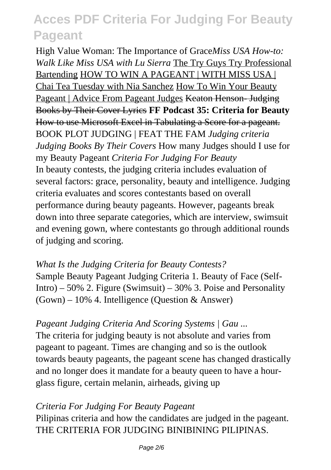High Value Woman: The Importance of Grace*Miss USA How-to: Walk Like Miss USA with Lu Sierra* The Try Guys Try Professional Bartending HOW TO WIN A PAGEANT | WITH MISS USA | Chai Tea Tuesday with Nia Sanchez How To Win Your Beauty Pageant | Advice From Pageant Judges Keaton Henson- Judging Books by Their Cover Lyrics **FF Podcast 35: Criteria for Beauty** How to use Microsoft Excel in Tabulating a Score for a pageant. BOOK PLOT JUDGING | FEAT THE FAM *Judging criteria Judging Books By Their Covers* How many Judges should I use for my Beauty Pageant *Criteria For Judging For Beauty* In beauty contests, the judging criteria includes evaluation of several factors: grace, personality, beauty and intelligence. Judging criteria evaluates and scores contestants based on overall performance during beauty pageants. However, pageants break down into three separate categories, which are interview, swimsuit and evening gown, where contestants go through additional rounds of judging and scoring.

#### *What Is the Judging Criteria for Beauty Contests?*

Sample Beauty Pageant Judging Criteria 1. Beauty of Face (Self-Intro) – 50% 2. Figure (Swimsuit) – 30% 3. Poise and Personality  $(Gown) - 10\%$  4. Intelligence (Question & Answer)

#### *Pageant Judging Criteria And Scoring Systems | Gau ...*

The criteria for judging beauty is not absolute and varies from pageant to pageant. Times are changing and so is the outlook towards beauty pageants, the pageant scene has changed drastically and no longer does it mandate for a beauty queen to have a hourglass figure, certain melanin, airheads, giving up

#### *Criteria For Judging For Beauty Pageant*

Pilipinas criteria and how the candidates are judged in the pageant. THE CRITERIA FOR JUDGING BINIBINING PILIPINAS.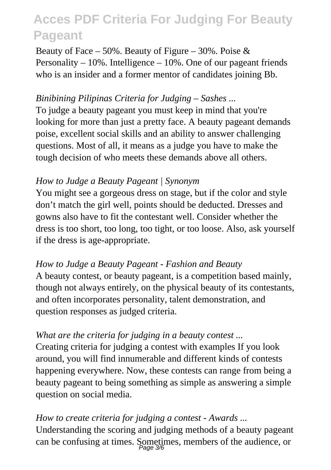Beauty of Face – 50%. Beauty of Figure – 30%. Poise  $\&$ Personality – 10%. Intelligence – 10%. One of our pageant friends who is an insider and a former mentor of candidates joining Bb.

#### *Binibining Pilipinas Criteria for Judging – Sashes ...*

To judge a beauty pageant you must keep in mind that you're looking for more than just a pretty face. A beauty pageant demands poise, excellent social skills and an ability to answer challenging questions. Most of all, it means as a judge you have to make the tough decision of who meets these demands above all others.

#### *How to Judge a Beauty Pageant | Synonym*

You might see a gorgeous dress on stage, but if the color and style don't match the girl well, points should be deducted. Dresses and gowns also have to fit the contestant well. Consider whether the dress is too short, too long, too tight, or too loose. Also, ask yourself if the dress is age-appropriate.

#### *How to Judge a Beauty Pageant - Fashion and Beauty*

A beauty contest, or beauty pageant, is a competition based mainly, though not always entirely, on the physical beauty of its contestants, and often incorporates personality, talent demonstration, and question responses as judged criteria.

#### *What are the criteria for judging in a beauty contest ...*

Creating criteria for judging a contest with examples If you look around, you will find innumerable and different kinds of contests happening everywhere. Now, these contests can range from being a beauty pageant to being something as simple as answering a simple question on social media.

*How to create criteria for judging a contest - Awards ...* Understanding the scoring and judging methods of a beauty pageant can be confusing at times. Sometimes, members of the audience, or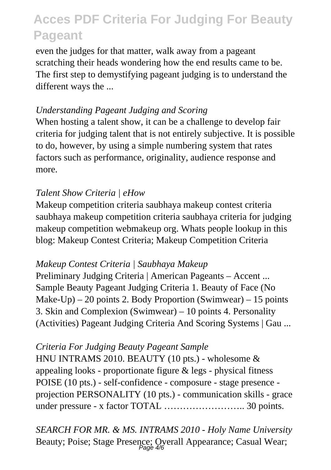even the judges for that matter, walk away from a pageant scratching their heads wondering how the end results came to be. The first step to demystifying pageant judging is to understand the different ways the ...

#### *Understanding Pageant Judging and Scoring*

When hosting a talent show, it can be a challenge to develop fair criteria for judging talent that is not entirely subjective. It is possible to do, however, by using a simple numbering system that rates factors such as performance, originality, audience response and more.

#### *Talent Show Criteria | eHow*

Makeup competition criteria saubhaya makeup contest criteria saubhaya makeup competition criteria saubhaya criteria for judging makeup competition webmakeup org. Whats people lookup in this blog: Makeup Contest Criteria; Makeup Competition Criteria

#### *Makeup Contest Criteria | Saubhaya Makeup*

Preliminary Judging Criteria | American Pageants – Accent ... Sample Beauty Pageant Judging Criteria 1. Beauty of Face (No Make-Up) – 20 points 2. Body Proportion (Swimwear) – 15 points 3. Skin and Complexion (Swimwear) – 10 points 4. Personality (Activities) Pageant Judging Criteria And Scoring Systems | Gau ...

#### *Criteria For Judging Beauty Pageant Sample*

HNU INTRAMS 2010. BEAUTY (10 pts.) - wholesome & appealing looks - proportionate figure  $\&$  legs - physical fitness POISE (10 pts.) - self-confidence - composure - stage presence projection PERSONALITY (10 pts.) - communication skills - grace under pressure - x factor TOTAL …………………….. 30 points.

*SEARCH FOR MR. & MS. INTRAMS 2010 - Holy Name University* Beauty; Poise; Stage Presence; Overall Appearance; Casual Wear;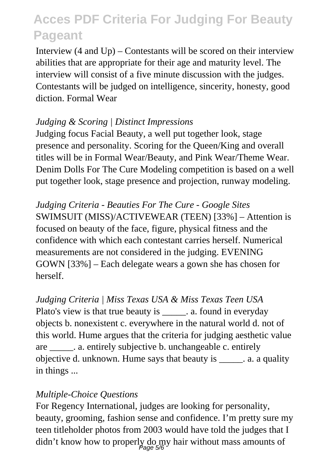Interview  $(4 \text{ and } Up)$  – Contestants will be scored on their interview abilities that are appropriate for their age and maturity level. The interview will consist of a five minute discussion with the judges. Contestants will be judged on intelligence, sincerity, honesty, good diction. Formal Wear

#### *Judging & Scoring | Distinct Impressions*

Judging focus Facial Beauty, a well put together look, stage presence and personality. Scoring for the Queen/King and overall titles will be in Formal Wear/Beauty, and Pink Wear/Theme Wear. Denim Dolls For The Cure Modeling competition is based on a well put together look, stage presence and projection, runway modeling.

*Judging Criteria - Beauties For The Cure - Google Sites* SWIMSUIT (MISS)/ACTIVEWEAR (TEEN) [33%] – Attention is focused on beauty of the face, figure, physical fitness and the confidence with which each contestant carries herself. Numerical measurements are not considered in the judging. EVENING GOWN [33%] – Each delegate wears a gown she has chosen for herself.

*Judging Criteria | Miss Texas USA & Miss Texas Teen USA* Plato's view is that true beauty is . a. found in everyday objects b. nonexistent c. everywhere in the natural world d. not of this world. Hume argues that the criteria for judging aesthetic value are  $\ldots$  a. entirely subjective b. unchangeable c. entirely objective d. unknown. Hume says that beauty is \_\_\_\_\_. a. a quality in things ...

#### *Multiple-Choice Questions*

For Regency International, judges are looking for personality, beauty, grooming, fashion sense and confidence. I'm pretty sure my teen titleholder photos from 2003 would have told the judges that I didn't know how to properly do my hair without mass amounts of Page 5/6